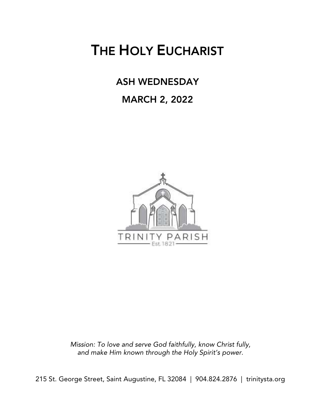# THE HOLY EUCHARIST

ASH WEDNESDAY

# MARCH 2, 2022



*Mission: To love and serve God faithfully, know Christ fully, and make Him known through the Holy Spirit's power.*

215 St. George Street, Saint Augustine, FL 32084 | 904.824.2876 | trinitysta.org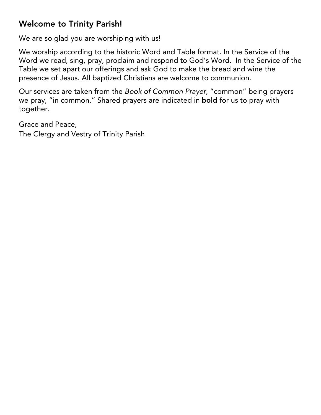# Welcome to Trinity Parish!

We are so glad you are worshiping with us!

We worship according to the historic Word and Table format. In the Service of the Word we read, sing, pray, proclaim and respond to God's Word. In the Service of the Table we set apart our offerings and ask God to make the bread and wine the presence of Jesus. All baptized Christians are welcome to communion.

Our services are taken from the *Book of Common Prayer*, "common" being prayers we pray, "in common." Shared prayers are indicated in bold for us to pray with together.

Grace and Peace, The Clergy and Vestry of Trinity Parish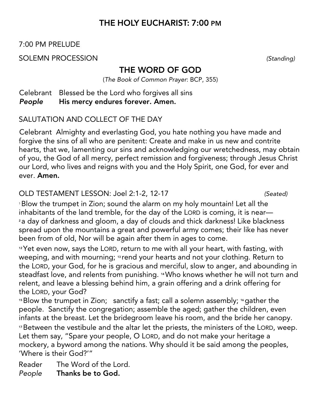## THE HOLY EUCHARIST: 7:00 PM

7:00 PM PRELUDE

SOLEMN PROCESSION *(Standing)*

# THE WORD OF GOD

(*The Book of Common Prayer*: BCP, 355)

Celebrant Blessed be the Lord who forgives all sins People His mercy endures forever. Amen.

SALUTATION AND COLLECT OF THE DAY

Celebrant Almighty and everlasting God, you hate nothing you have made and forgive the sins of all who are penitent: Create and make in us new and contrite hearts, that we, lamenting our sins and acknowledging our wretchedness, may obtain of you, the God of all mercy, perfect remission and forgiveness; through Jesus Christ our Lord, who lives and reigns with you and the Holy Spirit, one God, for ever and ever. Amen.

## OLD TESTAMENT LESSON: Joel 2:1-2, 12-17 *(Seated)*

<sup>1</sup>Blow the trumpet in Zion; sound the alarm on my holy mountain! Let all the inhabitants of the land tremble, for the day of the LORD is coming, it is near— <sup>2</sup>a day of darkness and gloom, a day of clouds and thick darkness! Like blackness spread upon the mountains a great and powerful army comes; their like has never been from of old, Nor will be again after them in ages to come.

<sup>12</sup>Yet even now, says the LORD, return to me with all your heart, with fasting, with weeping, and with mourning; 13 rend your hearts and not your clothing. Return to the LORD, your God, for he is gracious and merciful, slow to anger, and abounding in steadfast love, and relents from punishing. 14 Who knows whether he will not turn and relent, and leave a blessing behind him, a grain offering and a drink offering for the LORD, your God?

<sup>15</sup> Blow the trumpet in Zion; sanctify a fast; call a solemn assembly; <sup>16</sup> gather the people. Sanctify the congregation; assemble the aged; gather the children, even infants at the breast. Let the bridegroom leave his room, and the bride her canopy. <sup>17</sup>Between the vestibule and the altar let the priests, the ministers of the LORD, weep. Let them say, "Spare your people, O LORD, and do not make your heritage a mockery, a byword among the nations. Why should it be said among the peoples, 'Where is their God?'"

Reader The Word of the Lord.

*People* Thanks be to God.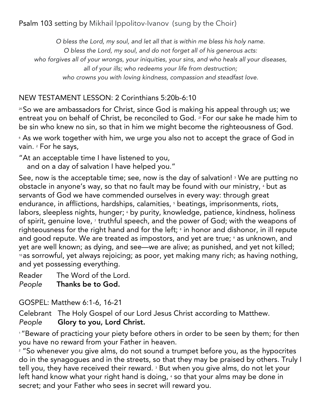## Psalm 103 setting by Mikhail Ippolitov-Ivanov (sung by the Choir)

*O bless the Lord, my soul, and let all that is within me bless his holy name. O bless the Lord, my soul, and do not forget all of his generous acts: who forgives all of your wrongs, your iniquities, your sins, and who heals all your diseases, all of your ills; who redeems your life from destruction; who crowns you with loving kindness, compassion and steadfast love.*

#### NEW TESTAMENT LESSON: 2 Corinthians 5:20b-6:10

<sup>20</sup>So we are ambassadors for Christ, since God is making his appeal through us; we entreat you on behalf of Christ, be reconciled to God. 21 For our sake he made him to be sin who knew no sin, so that in him we might become the righteousness of God.

 $^\circ$  As we work together with him, we urge you also not to accept the grace of God in  $^\circ$ vain. <sup>2</sup> For he says,

"At an acceptable time I have listened to you,

and on a day of salvation I have helped you."

See, now is the acceptable time; see, now is the day of salvation! <sup>3</sup> We are putting no obstacle in anyone's way, so that no fault may be found with our ministry, 4 but as servants of God we have commended ourselves in every way: through great endurance, in afflictions, hardships, calamities, <sup>s</sup> beatings, imprisonments, riots, labors, sleepless nights, hunger; <sub>'</sub> by purity, knowledge, patience, kindness, holiness of spirit, genuine love, <sup>,</sup> truthful speech, and the power of God; with the weapons of righteousness for the right hand and for the left; <sup>8</sup> in honor and dishonor, in ill repute and good repute. We are treated as impostors, and yet are true; <sup>,</sup> as unknown, and yet are well known; as dying, and see—we are alive; as punished, and yet not killed; <sup>10</sup> as sorrowful, yet always rejoicing; as poor, yet making many rich; as having nothing, and yet possessing everything.

Reader The Word of the Lord.

*People* Thanks be to God.

GOSPEL: Matthew 6:1-6, 16-21

Celebrant The Holy Gospel of our Lord Jesus Christ according to Matthew. *People* Glory to you, Lord Christ.

<sup>1</sup> "Beware of practicing your piety before others in order to be seen by them; for then you have no reward from your Father in heaven.

 $^\text{\tiny 2}$  "So whenever you give alms, do not sound a trumpet before you, as the hypocrites do in the synagogues and in the streets, so that they may be praised by others. Truly I tell you, they have received their reward. <sup>3</sup> But when you give alms, do not let your left hand know what your right hand is doing, <sub>"</sub> so that your alms may be done in secret; and your Father who sees in secret will reward you.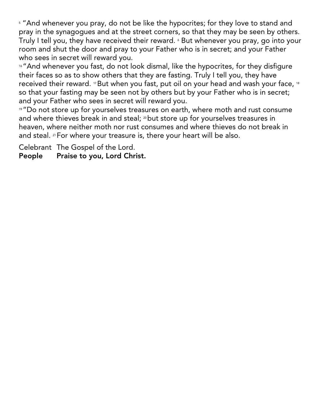$^{\circ}$  "And whenever you pray, do not be like the hypocrites; for they love to stand and pray in the synagogues and at the street corners, so that they may be seen by others. Truly I tell you, they have received their reward.  $^{\circ}$  But whenever you pray, go into your room and shut the door and pray to your Father who is in secret; and your Father who sees in secret will reward you.

16"And whenever you fast, do not look dismal, like the hypocrites, for they disfigure their faces so as to show others that they are fasting. Truly I tell you, they have received their reward. <sup>17</sup> But when you fast, put oil on your head and wash your face, <sup>18</sup> so that your fasting may be seen not by others but by your Father who is in secret; and your Father who sees in secret will reward you.

<sup>19</sup> "Do not store up for yourselves treasures on earth, where moth and rust consume and where thieves break in and steal; <sup>20</sup> but store up for yourselves treasures in heaven, where neither moth nor rust consumes and where thieves do not break in and steal. <sup>21</sup> For where your treasure is, there your heart will be also.

Celebrant The Gospel of the Lord.

People Praise to you, Lord Christ.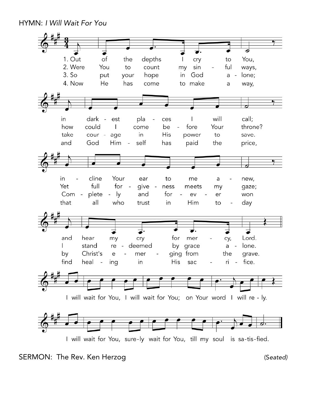HYMN: *I Will Wait For You*



SERMON: The Rev. Ken Herzog *SERMON: The Rev. Ken Herzog (Seated)*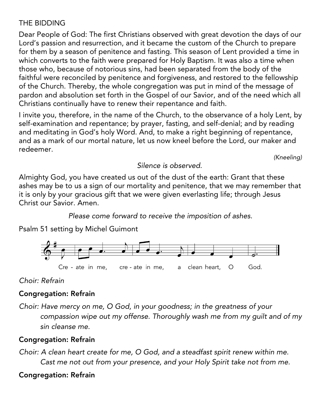## THE BIDDING

Dear People of God: The first Christians observed with great devotion the days of our Lord's passion and resurrection, and it became the custom of the Church to prepare for them by a season of penitence and fasting. This season of Lent provided a time in which converts to the faith were prepared for Holy Baptism. It was also a time when those who, because of notorious sins, had been separated from the body of the faithful were reconciled by penitence and forgiveness, and restored to the fellowship of the Church. Thereby, the whole congregation was put in mind of the message of pardon and absolution set forth in the Gospel of our Savior, and of the need which all Christians continually have to renew their repentance and faith.

I invite you, therefore, in the name of the Church, to the observance of a holy Lent, by self-examination and repentance; by prayer, fasting, and self-denial; and by reading and meditating in God's holy Word. And, to make a right beginning of repentance, and as a mark of our mortal nature, let us now kneel before the Lord, our maker and redeemer.

*(Kneeling)* 

#### *Silence is observed.*

Almighty God, you have created us out of the dust of the earth: Grant that these ashes may be to us a sign of our mortality and penitence, that we may remember that it is only by your gracious gift that we were given everlasting life; through Jesus Christ our Savior. Amen.

*Please come forward to receive the imposition of ashes.* 

Psalm 51 setting by Michel Guimont



*Choir: Refrain*

## Congregation: Refrain

*Choir: Have mercy on me, O God, in your goodness; in the greatness of your compassion wipe out my offense. Thoroughly wash me from my guilt and of my sin cleanse me.* 

## Congregation: Refrain

*Choir: A clean heart create for me, O God, and a steadfast spirit renew within me. Cast me not out from your presence, and your Holy Spirit take not from me.* 

## Congregation: Refrain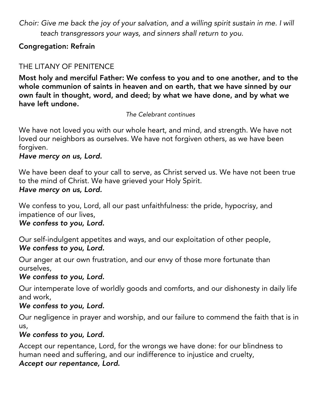*Choir: Give me back the joy of your salvation, and a willing spirit sustain in me. I will teach transgressors your ways, and sinners shall return to you.* 

## Congregation: Refrain

## THE LITANY OF PENITENCE

Most holy and merciful Father: We confess to you and to one another, and to the whole communion of saints in heaven and on earth, that we have sinned by our own fault in thought, word, and deed; by what we have done, and by what we have left undone.

#### *The Celebrant continues*

We have not loved you with our whole heart, and mind, and strength. We have not loved our neighbors as ourselves. We have not forgiven others, as we have been forgiven.

#### Have mercy on us, Lord.

We have been deaf to your call to serve, as Christ served us. We have not been true to the mind of Christ. We have grieved your Holy Spirit. Have mercy on us, Lord.

We confess to you, Lord, all our past unfaithfulness: the pride, hypocrisy, and impatience of our lives,

#### We confess to you, Lord.

Our self-indulgent appetites and ways, and our exploitation of other people, We confess to you, Lord.

Our anger at our own frustration, and our envy of those more fortunate than ourselves,

#### We confess to you, Lord.

Our intemperate love of worldly goods and comforts, and our dishonesty in daily life and work,

#### We confess to you, Lord.

Our negligence in prayer and worship, and our failure to commend the faith that is in us,

## We confess to you, Lord.

Accept our repentance, Lord, for the wrongs we have done: for our blindness to human need and suffering, and our indifference to injustice and cruelty, Accept our repentance, Lord.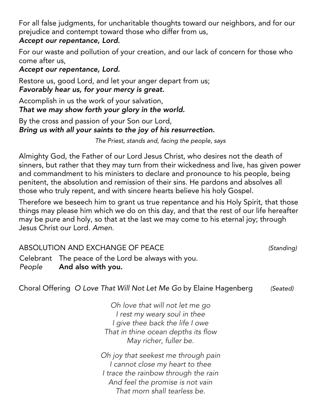For all false judgments, for uncharitable thoughts toward our neighbors, and for our prejudice and contempt toward those who differ from us,

## Accept our repentance, Lord.

For our waste and pollution of your creation, and our lack of concern for those who come after us,

## Accept our repentance, Lord.

Restore us, good Lord, and let your anger depart from us; Favorably hear us, for your mercy is great.

Accomplish in us the work of your salvation, That we may show forth your glory in the world.

By the cross and passion of your Son our Lord, Bring us with all your saints to the joy of his resurrection.

*The Priest, stands and, facing the people, says* 

Almighty God, the Father of our Lord Jesus Christ, who desires not the death of sinners, but rather that they may turn from their wickedness and live, has given power and commandment to his ministers to declare and pronounce to his people, being penitent, the absolution and remission of their sins. He pardons and absolves all those who truly repent, and with sincere hearts believe his holy Gospel.

Therefore we beseech him to grant us true repentance and his Holy Spirit, that those things may please him which we do on this day, and that the rest of our life hereafter may be pure and holy, so that at the last we may come to his eternal joy; through Jesus Christ our Lord. *Amen.* 

|        | ABSOLUTION AND EXCHANGE OF PEACE                                          | (Standing) |
|--------|---------------------------------------------------------------------------|------------|
| People | Celebrant The peace of the Lord be always with you.<br>And also with you. |            |

Choral Offering *O Love That Will Not Let Me Go* by Elaine Hagenberg *(Seated)* 

Oh love that will not let me go I rest my weary soul in thee I give thee back the life I owe That in thine ocean depths its flow May richer, fuller be.

Oh joy that seekest me through pain I cannot close my heart to thee I trace the rainbow through the rain And feel the promise is not vain That morn shall tearless be.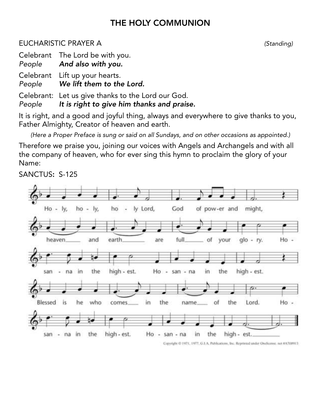## THE HOLY COMMUNION

#### EUCHARISTIC PRAYER A *(Standing)*

Celebrant The Lord be with you.

*People* And also with you.

Celebrant Lift up your hearts.

*People* We lift them to the Lord.

Celebrant: Let us give thanks to the Lord our God.

People It is right to give him thanks and praise.

It is right, and a good and joyful thing, always and everywhere to give thanks to you, Father Almighty, Creator of heaven and earth.

*(Here a Proper Preface is sung or said on all Sundays, and on other occasions as appointed.)* 

Therefore we praise you, joining our voices with Angels and Archangels and with all the company of heaven, who for ever sing this hymn to proclaim the glory of your Name:

SANCTUS: S-125



Copyright © 1971, 1977, G.I.A. Publications, Inc. Reprinted under Onelicense. net #A708913.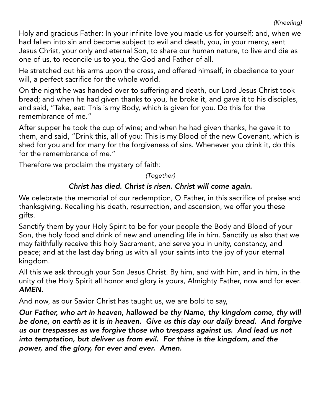Holy and gracious Father: In your infinite love you made us for yourself; and, when we had fallen into sin and become subject to evil and death, you, in your mercy, sent Jesus Christ, your only and eternal Son, to share our human nature, to live and die as one of us, to reconcile us to you, the God and Father of all.

He stretched out his arms upon the cross, and offered himself, in obedience to your will, a perfect sacrifice for the whole world.

On the night he was handed over to suffering and death, our Lord Jesus Christ took bread; and when he had given thanks to you, he broke it, and gave it to his disciples, and said, "Take, eat: This is my Body, which is given for you. Do this for the remembrance of me."

After supper he took the cup of wine; and when he had given thanks, he gave it to them, and said, "Drink this, all of you: This is my Blood of the new Covenant, which is shed for you and for many for the forgiveness of sins. Whenever you drink it, do this for the remembrance of me."

Therefore we proclaim the mystery of faith:

*(Together)*

## Christ has died. Christ is risen. Christ will come again.

We celebrate the memorial of our redemption, O Father, in this sacrifice of praise and thanksgiving. Recalling his death, resurrection, and ascension, we offer you these gifts.

Sanctify them by your Holy Spirit to be for your people the Body and Blood of your Son, the holy food and drink of new and unending life in him. Sanctify us also that we may faithfully receive this holy Sacrament, and serve you in unity, constancy, and peace; and at the last day bring us with all your saints into the joy of your eternal kingdom.

All this we ask through your Son Jesus Christ. By him, and with him, and in him, in the unity of the Holy Spirit all honor and glory is yours, Almighty Father, now and for ever. AMEN.

And now, as our Savior Christ has taught us, we are bold to say,

Our Father, who art in heaven, hallowed be thy Name, thy kingdom come, thy will be done, on earth as it is in heaven. Give us this day our daily bread. And forgive us our trespasses as we forgive those who trespass against us. And lead us not into temptation, but deliver us from evil. For thine is the kingdom, and the power, and the glory, for ever and ever. Amen.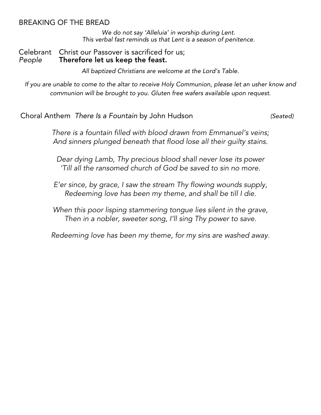#### BREAKING OF THE BREAD

*We do not say 'Alleluia' in worship during Lent. This verbal fast reminds us that Lent is a season of penitence.* 

Celebrant Christ our Passover is sacrificed for us; *People* Therefore let us keep the feast.

*All baptized Christians are welcome at the Lord's Table.* 

*If you are unable to come to the altar to receive Holy Communion, please let an usher know and communion will be brought to you. Gluten free wafers available upon request.* 

Choral Anthem *There Is a Fountain* by John Hudson *(Seated)* 

There is a fountain filled with blood drawn from Emmanuel's veins; And sinners plunged beneath that flood lose all their guilty stains.

Dear dying Lamb, Thy precious blood shall never lose its power 'Till all the ransomed church of God be saved to sin no more.

E'er since, by grace, I saw the stream Thy flowing wounds supply, Redeeming love has been my theme, and shall be till I die.

When this poor lisping stammering tongue lies silent in the grave, Then in a nobler, sweeter song, I'll sing Thy power to save.

Redeeming love has been my theme, for my sins are washed away.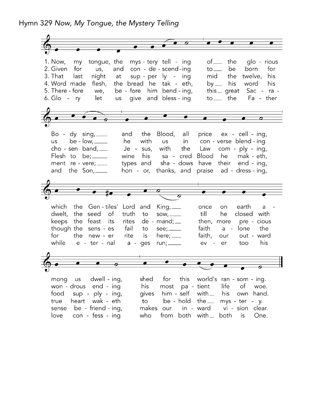Hymn 329 *Now, My Tongue, the Mystery Telling*